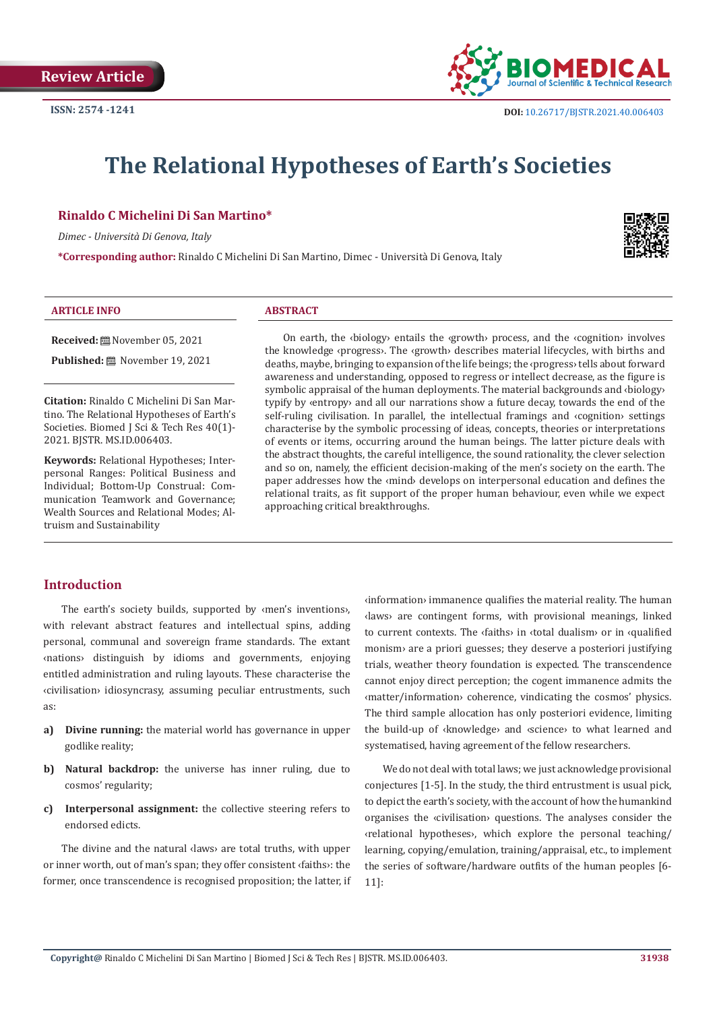

# **The Relational Hypotheses of Earth's Societies**

#### **Rinaldo C Michelini Di San Martino\***

*Dimec - Università Di Genova, Italy*

**\*Corresponding author:** Rinaldo C Michelini Di San Martino, Dimec - Università Di Genova, Italy



#### **ARTICLE INFO ABSTRACT**

**Received:** November 05, 2021

**Published:** November 19, 2021

**Citation:** Rinaldo C Michelini Di San Martino. The Relational Hypotheses of Earth's Societies. Biomed J Sci & Tech Res 40(1)- 2021. BJSTR. MS.ID.006403.

**Keywords:** Relational Hypotheses; Interpersonal Ranges: Political Business and Individual; Bottom-Up Construal: Communication Teamwork and Governance; Wealth Sources and Relational Modes; Altruism and Sustainability

On earth, the ‹biology› entails the ‹growth› process, and the ‹cognition› involves the knowledge ‹progress›. The ‹growth› describes material lifecycles, with births and deaths, maybe, bringing to expansion of the life beings; the ‹progress› tells about forward awareness and understanding, opposed to regress or intellect decrease, as the figure is symbolic appraisal of the human deployments. The material backgrounds and ‹biology› typify by ‹entropy› and all our narrations show a future decay, towards the end of the self-ruling civilisation. In parallel, the intellectual framings and ‹cognition› settings characterise by the symbolic processing of ideas, concepts, theories or interpretations of events or items, occurring around the human beings. The latter picture deals with the abstract thoughts, the careful intelligence, the sound rationality, the clever selection and so on, namely, the efficient decision-making of the men's society on the earth. The paper addresses how the ‹mind› develops on interpersonal education and defines the relational traits, as fit support of the proper human behaviour, even while we expect approaching critical breakthroughs.

#### **Introduction**

The earth's society builds, supported by ‹men's inventions›, with relevant abstract features and intellectual spins, adding personal, communal and sovereign frame standards. The extant ‹nations› distinguish by idioms and governments, enjoying entitled administration and ruling layouts. These characterise the ‹civilisation› idiosyncrasy, assuming peculiar entrustments, such as:

- **a) Divine running:** the material world has governance in upper godlike reality;
- **b) Natural backdrop:** the universe has inner ruling, due to cosmos' regularity;
- **c) Interpersonal assignment:** the collective steering refers to endorsed edicts.

The divine and the natural ‹laws› are total truths, with upper or inner worth, out of man's span; they offer consistent ‹faiths›: the former, once transcendence is recognised proposition; the latter, if ‹information› immanence qualifies the material reality. The human ‹laws› are contingent forms, with provisional meanings, linked to current contexts. The ‹faiths› in ‹total dualism› or in ‹qualified monism› are a priori guesses; they deserve a posteriori justifying trials, weather theory foundation is expected. The transcendence cannot enjoy direct perception; the cogent immanence admits the ‹matter/information› coherence, vindicating the cosmos' physics. The third sample allocation has only posteriori evidence, limiting the build-up of ‹knowledge› and ‹science› to what learned and systematised, having agreement of the fellow researchers.

We do not deal with total laws; we just acknowledge provisional conjectures [1-5]. In the study, the third entrustment is usual pick, to depict the earth's society, with the account of how the humankind organises the ‹civilisation› questions. The analyses consider the ‹relational hypotheses›, which explore the personal teaching/ learning, copying/emulation, training/appraisal, etc., to implement the series of software/hardware outfits of the human peoples [6- 11]: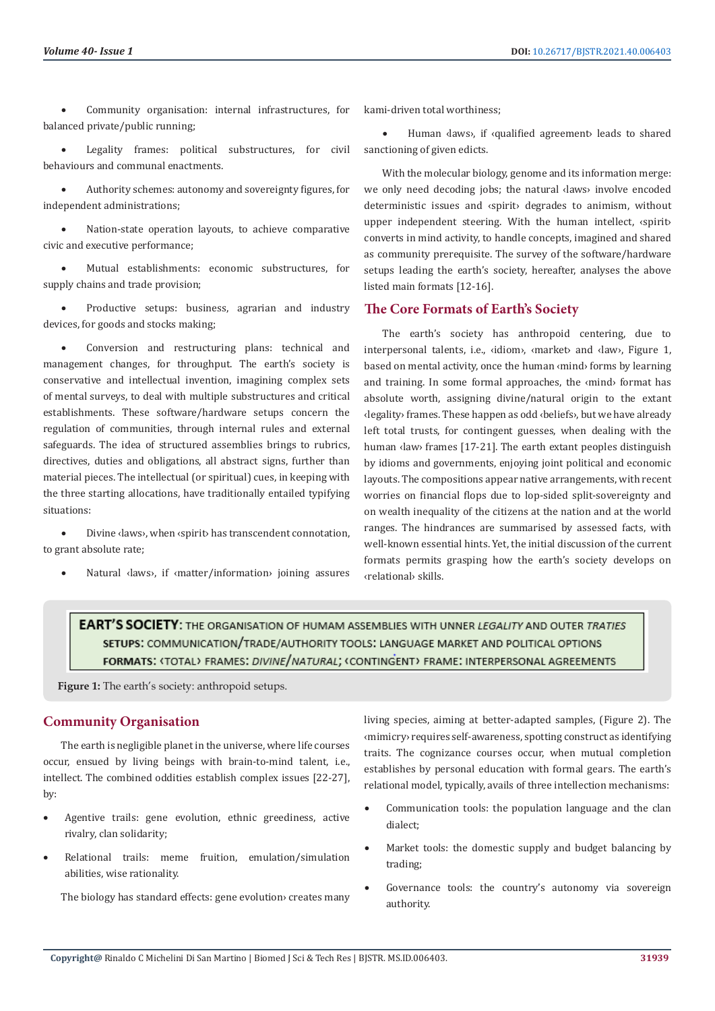• Community organisation: internal infrastructures, for balanced private/public running;

• Legality frames: political substructures, for civil behaviours and communal enactments.

Authority schemes: autonomy and sovereignty figures, for independent administrations;

• Nation-state operation layouts, to achieve comparative civic and executive performance;

• Mutual establishments: economic substructures, for supply chains and trade provision;

• Productive setups: business, agrarian and industry devices, for goods and stocks making;

• Conversion and restructuring plans: technical and management changes, for throughput. The earth's society is conservative and intellectual invention, imagining complex sets of mental surveys, to deal with multiple substructures and critical establishments. These software/hardware setups concern the regulation of communities, through internal rules and external safeguards. The idea of structured assemblies brings to rubrics, directives, duties and obligations, all abstract signs, further than material pieces. The intellectual (or spiritual) cues, in keeping with the three starting allocations, have traditionally entailed typifying situations:

Divine <laws>, when <spirit> has transcendent connotation, to grant absolute rate;

Natural <laws>, if <matter/information> joining assures

kami-driven total worthiness;

Human <a>Idaws>, if <a><a>Idualified agreement></a> leads to shared sanctioning of given edicts.

With the molecular biology, genome and its information merge: we only need decoding jobs; the natural **daws** involve encoded deterministic issues and ‹spirit› degrades to animism, without upper independent steering. With the human intellect, ‹spirit› converts in mind activity, to handle concepts, imagined and shared as community prerequisite. The survey of the software/hardware setups leading the earth's society, hereafter, analyses the above listed main formats [12-16].

#### **The Core Formats of Earth's Society**

The earth's society has anthropoid centering, due to interpersonal talents, i.e., ‹idiom›, ‹market› and ‹law›, Figure 1, based on mental activity, once the human ‹mind› forms by learning and training. In some formal approaches, the ‹mind› format has absolute worth, assigning divine/natural origin to the extant ‹legality› frames. These happen as odd ‹beliefs›, but we have already left total trusts, for contingent guesses, when dealing with the human ‹law› frames [17-21]. The earth extant peoples distinguish by idioms and governments, enjoying joint political and economic layouts. The compositions appear native arrangements, with recent worries on financial flops due to lop-sided split-sovereignty and on wealth inequality of the citizens at the nation and at the world ranges. The hindrances are summarised by assessed facts, with well-known essential hints. Yet, the initial discussion of the current formats permits grasping how the earth's society develops on ‹relational› skills.

**EART'S SOCIETY:** THE ORGANISATION OF HUMAM ASSEMBLIES WITH UNNER LEGALITY AND OUTER TRATIES SETUPS: COMMUNICATION/TRADE/AUTHORITY TOOLS: LANGUAGE MARKET AND POLITICAL OPTIONS FORMATS: <TOTAL> FRAMES: DIVINE/NATURAL; <CONTINGENT> FRAME: INTERPERSONAL AGREEMENTS

**Figure 1:** The earth's society: anthropoid setups.

#### **Community Organisation**

The earth is negligible planet in the universe, where life courses occur, ensued by living beings with brain-to-mind talent, i.e., intellect. The combined oddities establish complex issues [22-27], by:

- Agentive trails: gene evolution, ethnic greediness, active rivalry, clan solidarity;
- Relational trails: meme fruition, emulation/simulation abilities, wise rationality.

The biology has standard effects: gene evolution› creates many

living species, aiming at better-adapted samples, (Figure 2). The ‹mimicry› requires self-awareness, spotting construct as identifying traits. The cognizance courses occur, when mutual completion establishes by personal education with formal gears. The earth's relational model, typically, avails of three intellection mechanisms:

- Communication tools: the population language and the clan dialect;
- Market tools: the domestic supply and budget balancing by trading;
- Governance tools: the country's autonomy via sovereign authority.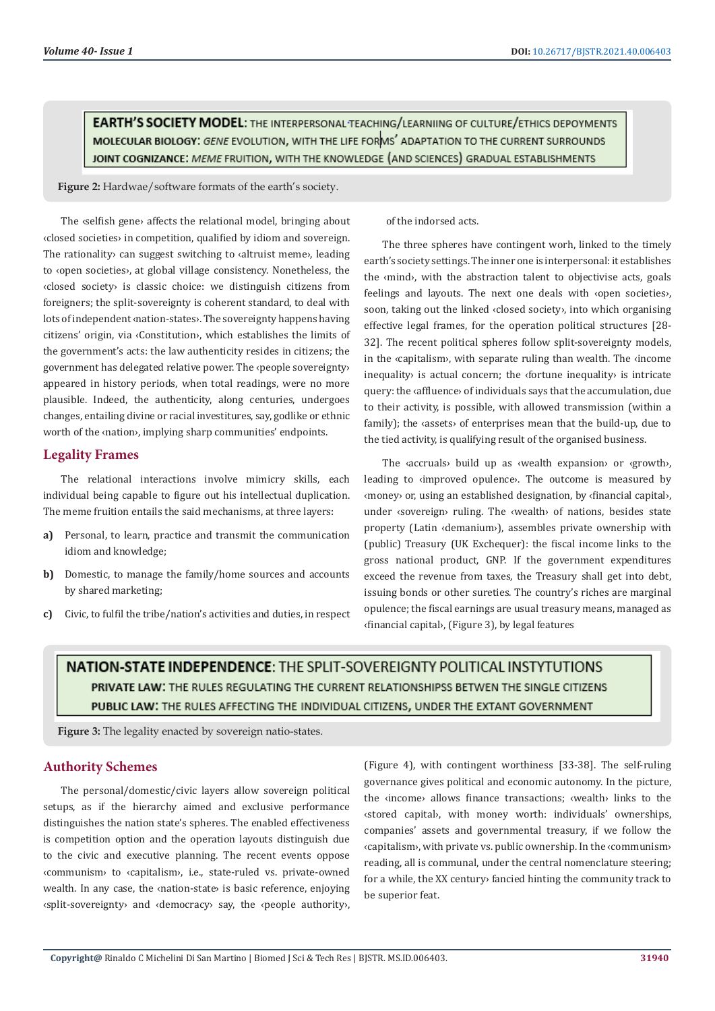**EARTH'S SOCIETY MODEL:** THE INTERPERSONAL TEACHING/LEARNIING OF CULTURE/ETHICS DEPOYMENTS MOLECULAR BIOLOGY: GENE EVOLUTION, WITH THE LIFE FORMS' ADAPTATION TO THE CURRENT SURROUNDS JOINT COGNIZANCE: MEME FRUITION, WITH THE KNOWLEDGE (AND SCIENCES) GRADUAL ESTABLISHMENTS

**Figure 2:** Hardwae/software formats of the earth's society.

The ‹selfish gene› affects the relational model, bringing about ‹closed societies› in competition, qualified by idiom and sovereign. The rationality› can suggest switching to ‹altruist meme›, leading to ‹open societies›, at global village consistency. Nonetheless, the ‹closed society› is classic choice: we distinguish citizens from foreigners; the split-sovereignty is coherent standard, to deal with lots of independent ‹nation-states›. The sovereignty happens having citizens' origin, via ‹Constitution›, which establishes the limits of the government's acts: the law authenticity resides in citizens; the government has delegated relative power. The ‹people sovereignty› appeared in history periods, when total readings, were no more plausible. Indeed, the authenticity, along centuries, undergoes changes, entailing divine or racial investitures, say, godlike or ethnic worth of the ‹nation›, implying sharp communities' endpoints.

#### **Legality Frames**

The relational interactions involve mimicry skills, each individual being capable to figure out his intellectual duplication. The meme fruition entails the said mechanisms, at three layers:

- **a)** Personal, to learn, practice and transmit the communication idiom and knowledge;
- **b)** Domestic, to manage the family/home sources and accounts by shared marketing;
- **c)** Civic, to fulfil the tribe/nation's activities and duties, in respect

of the indorsed acts.

The three spheres have contingent worh, linked to the timely earth's society settings. The inner one is interpersonal: it establishes the ‹mind›, with the abstraction talent to objectivise acts, goals feelings and layouts. The next one deals with ‹open societies›, soon, taking out the linked ‹closed society›, into which organising effective legal frames, for the operation political structures [28- 32]. The recent political spheres follow split-sovereignty models, in the ‹capitalism›, with separate ruling than wealth. The ‹income inequality› is actual concern; the ‹fortune inequality› is intricate query: the ‹affluence› of individuals says that the accumulation, due to their activity, is possible, with allowed transmission (within a family); the ‹assets› of enterprises mean that the build-up, due to the tied activity, is qualifying result of the organised business.

The ‹accruals› build up as ‹wealth expansion› or ‹growth›, leading to ‹improved opulence›. The outcome is measured by ‹money› or, using an established designation, by ‹financial capital›, under ‹sovereign› ruling. The ‹wealth› of nations, besides state property (Latin ‹demanium›), assembles private ownership with (public) Treasury (UK Exchequer): the fiscal income links to the gross national product, GNP. If the government expenditures exceed the revenue from taxes, the Treasury shall get into debt, issuing bonds or other sureties. The country's riches are marginal opulence; the fiscal earnings are usual treasury means, managed as ‹financial capital›, (Figure 3), by legal features

# **NATION-STATE INDEPENDENCE:** THE SPLIT-SOVERFIGNTY POLITICAL INSTYTUTIONS PRIVATE LAW: THE RULES REGULATING THE CURRENT RELATIONSHIPSS BETWEN THE SINGLE CITIZENS PUBLIC LAW: THE RULES AFFECTING THE INDIVIDUAL CITIZENS, UNDER THE EXTANT GOVERNMENT

**Figure 3:** The legality enacted by sovereign natio-states.

#### **Authority Schemes**

The personal/domestic/civic layers allow sovereign political setups, as if the hierarchy aimed and exclusive performance distinguishes the nation state's spheres. The enabled effectiveness is competition option and the operation layouts distinguish due to the civic and executive planning. The recent events oppose ‹communism› to ‹capitalism›, i.e., state-ruled vs. private-owned wealth. In any case, the ‹nation-state› is basic reference, enjoying ‹split-sovereignty› and ‹democracy› say, the ‹people authority›, (Figure 4), with contingent worthiness [33-38]. The self-ruling governance gives political and economic autonomy. In the picture, the ‹income› allows finance transactions; ‹wealth› links to the ‹stored capital›, with money worth: individuals' ownerships, companies' assets and governmental treasury, if we follow the ‹capitalism›, with private vs. public ownership. In the ‹communism› reading, all is communal, under the central nomenclature steering; for a while, the XX century› fancied hinting the community track to be superior feat.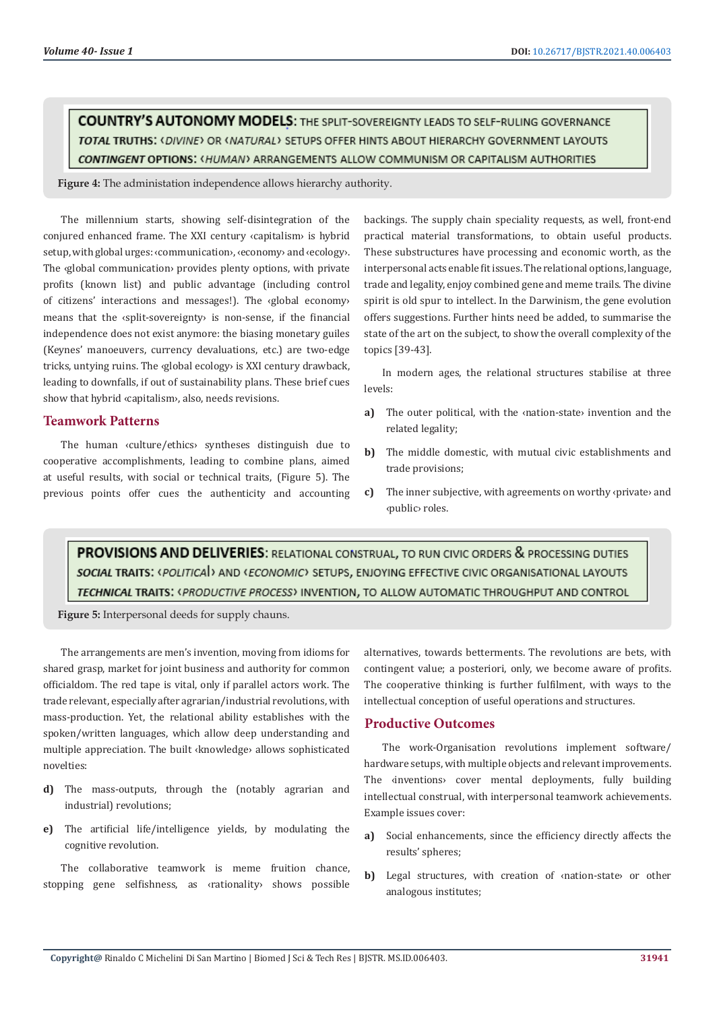**COUNTRY'S AUTONOMY MODELS:** THE SPLIT-SOVEREIGNTY LEADS TO SELF-RULING GOVERNANCE TOTAL TRUTHS: < DIVINE> OR < NATURAL> SETUPS OFFER HINTS ABOUT HIERARCHY GOVERNMENT LAYOUTS CONTINGENT OPTIONS: < HUMAN> ARRANGEMENTS ALLOW COMMUNISM OR CAPITALISM AUTHORITIES

**Figure 4:** The administation independence allows hierarchy authority.

The millennium starts, showing self-disintegration of the conjured enhanced frame. The XXI century ‹capitalism› is hybrid setup, with global urges: ‹communication›, ‹economy› and ‹ecology›. The ‹global communication› provides plenty options, with private profits (known list) and public advantage (including control of citizens' interactions and messages!). The ‹global economy› means that the ‹split-sovereignty› is non-sense, if the financial independence does not exist anymore: the biasing monetary guiles (Keynes' manoeuvers, currency devaluations, etc.) are two-edge tricks, untying ruins. The ‹global ecology› is XXI century drawback, leading to downfalls, if out of sustainability plans. These brief cues show that hybrid ‹capitalism›, also, needs revisions.

#### **Teamwork Patterns**

The human ‹culture/ethics› syntheses distinguish due to cooperative accomplishments, leading to combine plans, aimed at useful results, with social or technical traits, (Figure 5). The previous points offer cues the authenticity and accounting backings. The supply chain speciality requests, as well, front-end practical material transformations, to obtain useful products. These substructures have processing and economic worth, as the interpersonal acts enable fit issues. The relational options, language, trade and legality, enjoy combined gene and meme trails. The divine spirit is old spur to intellect. In the Darwinism, the gene evolution offers suggestions. Further hints need be added, to summarise the state of the art on the subject, to show the overall complexity of the topics [39-43].

In modern ages, the relational structures stabilise at three levels:

- **a)** The outer political, with the ‹nation-state› invention and the related legality;
- **b)** The middle domestic, with mutual civic establishments and trade provisions;
- **c)** The inner subjective, with agreements on worthy ‹private› and ‹public› roles.

PROVISIONS AND DELIVERIES: RELATIONAL CONSTRUAL, TO RUN CIVIC ORDERS & PROCESSING DUTIES **SOCIAL TRAITS:** <POLITICA > AND <*ECONOMIC*> SETUPS, ENJOYING EFFECTIVE CIVIC ORGANISATIONAL LAYOUTS TECHNICAL TRAITS: <PRODUCTIVE PROCESS> INVENTION, TO ALLOW AUTOMATIC THROUGHPUT AND CONTROL

**Figure 5:** Interpersonal deeds for supply chauns.

The arrangements are men's invention, moving from idioms for shared grasp, market for joint business and authority for common officialdom. The red tape is vital, only if parallel actors work. The trade relevant, especially after agrarian/industrial revolutions, with mass-production. Yet, the relational ability establishes with the spoken/written languages, which allow deep understanding and multiple appreciation. The built ‹knowledge› allows sophisticated novelties:

- **d)** The mass-outputs, through the (notably agrarian and industrial) revolutions;
- **e)** The artificial life/intelligence yields, by modulating the cognitive revolution.

The collaborative teamwork is meme fruition chance, stopping gene selfishness, as ‹rationality› shows possible alternatives, towards betterments. The revolutions are bets, with contingent value; a posteriori, only, we become aware of profits. The cooperative thinking is further fulfilment, with ways to the intellectual conception of useful operations and structures.

#### **Productive Outcomes**

The work-Organisation revolutions implement software/ hardware setups, with multiple objects and relevant improvements. The **«inventions»** cover mental deployments, fully building intellectual construal, with interpersonal teamwork achievements. Example issues cover:

- **a)** Social enhancements, since the efficiency directly affects the results' spheres;
- **b)** Legal structures, with creation of ‹nation-state› or other analogous institutes;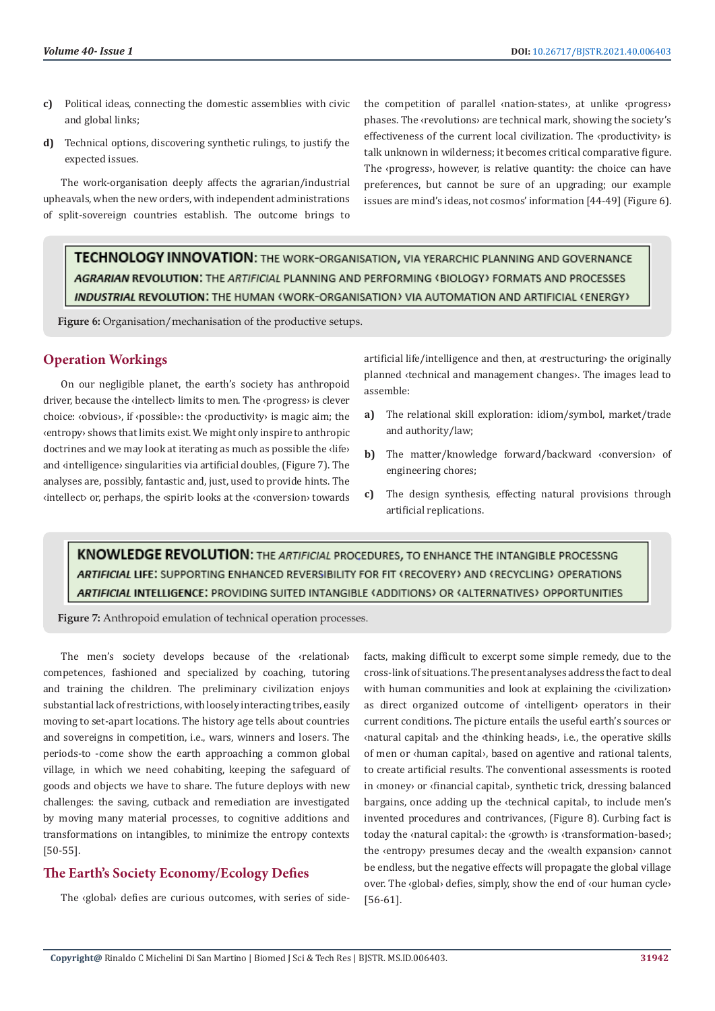- **c)** Political ideas, connecting the domestic assemblies with civic and global links;
- **d)** Technical options, discovering synthetic rulings, to justify the expected issues.

The work-organisation deeply affects the agrarian/industrial upheavals, when the new orders, with independent administrations of split-sovereign countries establish. The outcome brings to

the competition of parallel ‹nation-states›, at unlike ‹progress› phases. The ‹revolutions› are technical mark, showing the society's effectiveness of the current local civilization. The ‹productivity› is talk unknown in wilderness; it becomes critical comparative figure. The ‹progress›, however, is relative quantity: the choice can have preferences, but cannot be sure of an upgrading; our example issues are mind's ideas, not cosmos' information [44-49] (Figure 6).

TECHNOLOGY INNOVATION: THE WORK-ORGANISATION, VIA YERARCHIC PLANNING AND GOVERNANCE AGRARIAN REVOLUTION: THE ARTIFICIAL PLANNING AND PERFORMING (BIOLOGY) FORMATS AND PROCESSES INDUSTRIAL REVOLUTION: THE HUMAN <WORK-ORGANISATION> VIA AUTOMATION AND ARTIFICIAL <ENERGY>

**Figure 6:** Organisation/mechanisation of the productive setups.

#### **Operation Workings**

On our negligible planet, the earth's society has anthropoid driver, because the «intellect» limits to men. The «progress» is clever choice: ‹obvious›, if ‹possible›: the ‹productivity› is magic aim; the ‹entropy› shows that limits exist. We might only inspire to anthropic doctrines and we may look at iterating as much as possible the ‹life› and ‹intelligence› singularities via artificial doubles, (Figure 7). The analyses are, possibly, fantastic and, just, used to provide hints. The ‹intellect› or, perhaps, the ‹spirit› looks at the ‹conversion› towards artificial life/intelligence and then, at ‹restructuring› the originally planned ‹technical and management changes›. The images lead to assemble:

- **a)** The relational skill exploration: idiom/symbol, market/trade and authority/law;
- **b)** The matter/knowledge forward/backward ‹conversion› of engineering chores;
- **c)** The design synthesis, effecting natural provisions through artificial replications.

## **KNOWLEDGE REVOLUTION:** THE ARTIFICIAL PROCEDURES, TO ENHANCE THE INTANGIBLE PROCESSNG ARTIFICIAL LIFE: SUPPORTING ENHANCED REVERSIBILITY FOR FIT (RECOVERY) AND (RECYCLING) OPERATIONS ARTIFICIAL INTELLIGENCE: PROVIDING SUITED INTANGIBLE (ADDITIONS) OR (ALTERNATIVES) OPPORTUNITIES

**Figure 7:** Anthropoid emulation of technical operation processes.

The men's society develops because of the «relational» competences, fashioned and specialized by coaching, tutoring and training the children. The preliminary civilization enjoys substantial lack of restrictions, with loosely interacting tribes, easily moving to set-apart locations. The history age tells about countries and sovereigns in competition, i.e., wars, winners and losers. The periods-to -come show the earth approaching a common global village, in which we need cohabiting, keeping the safeguard of goods and objects we have to share. The future deploys with new challenges: the saving, cutback and remediation are investigated by moving many material processes, to cognitive additions and transformations on intangibles, to minimize the entropy contexts [50-55].

### **The Earth's Society Economy/Ecology Defies**

The ‹global› defies are curious outcomes, with series of side-

facts, making difficult to excerpt some simple remedy, due to the cross-link of situations. The present analyses address the fact to deal with human communities and look at explaining the «civilization» as direct organized outcome of ‹intelligent› operators in their current conditions. The picture entails the useful earth's sources or ‹natural capital› and the ‹thinking heads›, i.e., the operative skills of men or ‹human capital›, based on agentive and rational talents, to create artificial results. The conventional assessments is rooted in ‹money› or ‹financial capital›, synthetic trick, dressing balanced bargains, once adding up the ‹technical capital›, to include men's invented procedures and contrivances, (Figure 8). Curbing fact is today the ‹natural capital›: the ‹growth› is ‹transformation-based›; the ‹entropy› presumes decay and the ‹wealth expansion› cannot be endless, but the negative effects will propagate the global village over. The ‹global› defies, simply, show the end of ‹our human cycle› [56-61].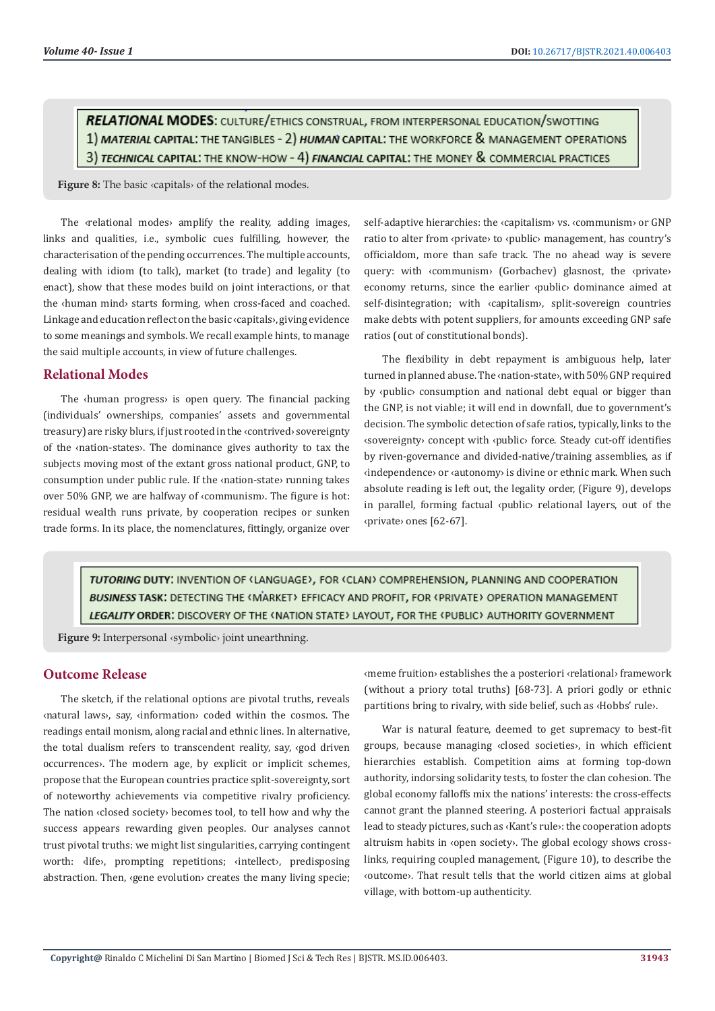**RELATIONAL MODES:** CULTURE/ETHICS CONSTRUAL, FROM INTERPERSONAL EDUCATION/SWOTTING 1) MATERIAL CAPITAL: THE TANGIBLES - 2) HUMAN CAPITAL: THE WORKFORCE & MANAGEMENT OPERATIONS 3) TECHNICAL CAPITAL: THE KNOW-HOW - 4) FINANCIAL CAPITAL: THE MONEY & COMMERCIAL PRACTICES

**Figure 8:** The basic ‹capitals› of the relational modes.

The ‹relational modes› amplify the reality, adding images, links and qualities, i.e., symbolic cues fulfilling, however, the characterisation of the pending occurrences. The multiple accounts, dealing with idiom (to talk), market (to trade) and legality (to enact), show that these modes build on joint interactions, or that the ‹human mind› starts forming, when cross-faced and coached. Linkage and education reflect on the basic ‹capitals›, giving evidence to some meanings and symbols. We recall example hints, to manage the said multiple accounts, in view of future challenges.

#### **Relational Modes**

The ‹human progress› is open query. The financial packing (individuals' ownerships, companies' assets and governmental treasury) are risky blurs, if just rooted in the ‹contrived› sovereignty of the ‹nation-states›. The dominance gives authority to tax the subjects moving most of the extant gross national product, GNP, to consumption under public rule. If the ‹nation-state› running takes over 50% GNP, we are halfway of ‹communism›. The figure is hot: residual wealth runs private, by cooperation recipes or sunken trade forms. In its place, the nomenclatures, fittingly, organize over self-adaptive hierarchies: the ‹capitalism› vs. ‹communism› or GNP ratio to alter from ‹private› to ‹public› management, has country's officialdom, more than safe track. The no ahead way is severe query: with ‹communism› (Gorbachev) glasnost, the ‹private› economy returns, since the earlier ‹public› dominance aimed at self-disintegration; with «capitalism», split-sovereign countries make debts with potent suppliers, for amounts exceeding GNP safe ratios (out of constitutional bonds).

The flexibility in debt repayment is ambiguous help, later turned in planned abuse. The ‹nation-state›, with 50% GNP required by ‹public› consumption and national debt equal or bigger than the GNP, is not viable; it will end in downfall, due to government's decision. The symbolic detection of safe ratios, typically, links to the ‹sovereignty› concept with ‹public› force. Steady cut-off identifies by riven-governance and divided-native/training assemblies, as if ‹independence› or ‹autonomy› is divine or ethnic mark. When such absolute reading is left out, the legality order, (Figure 9), develops in parallel, forming factual ‹public› relational layers, out of the ‹private› ones [62-67].

TUTORING DUTY: INVENTION OF (LANGUAGE), FOR (CLAN) COMPREHENSION, PLANNING AND COOPERATION BUSINESS TASK: DETECTING THE (MARKET) EFFICACY AND PROFIT, FOR (PRIVATE) OPERATION MANAGEMENT LEGALITY ORDER: DISCOVERY OF THE <NATION STATE> LAYOUT, FOR THE <PUBLIC> AUTHORITY GOVERNMENT

**Figure 9:** Interpersonal ‹symbolic› joint unearthning.

#### **Outcome Release**

The sketch, if the relational options are pivotal truths, reveals ‹natural laws›, say, ‹information› coded within the cosmos. The readings entail monism, along racial and ethnic lines. In alternative, the total dualism refers to transcendent reality, say, ‹god driven occurrences›. The modern age, by explicit or implicit schemes, propose that the European countries practice split-sovereignty, sort of noteworthy achievements via competitive rivalry proficiency. The nation ‹closed society› becomes tool, to tell how and why the success appears rewarding given peoples. Our analyses cannot trust pivotal truths: we might list singularities, carrying contingent worth: dife>, prompting repetitions; <intellect>, predisposing abstraction. Then, *«gene evolution»* creates the many living specie; ‹meme fruition› establishes the a posteriori ‹relational› framework (without a priory total truths) [68-73]. A priori godly or ethnic partitions bring to rivalry, with side belief, such as ‹Hobbs' rule›.

War is natural feature, deemed to get supremacy to best-fit groups, because managing ‹closed societies›, in which efficient hierarchies establish. Competition aims at forming top-down authority, indorsing solidarity tests, to foster the clan cohesion. The global economy falloffs mix the nations' interests: the cross-effects cannot grant the planned steering. A posteriori factual appraisals lead to steady pictures, such as ‹Kant's rule›: the cooperation adopts altruism habits in ‹open society›. The global ecology shows crosslinks, requiring coupled management, (Figure 10), to describe the ‹outcome›. That result tells that the world citizen aims at global village, with bottom-up authenticity.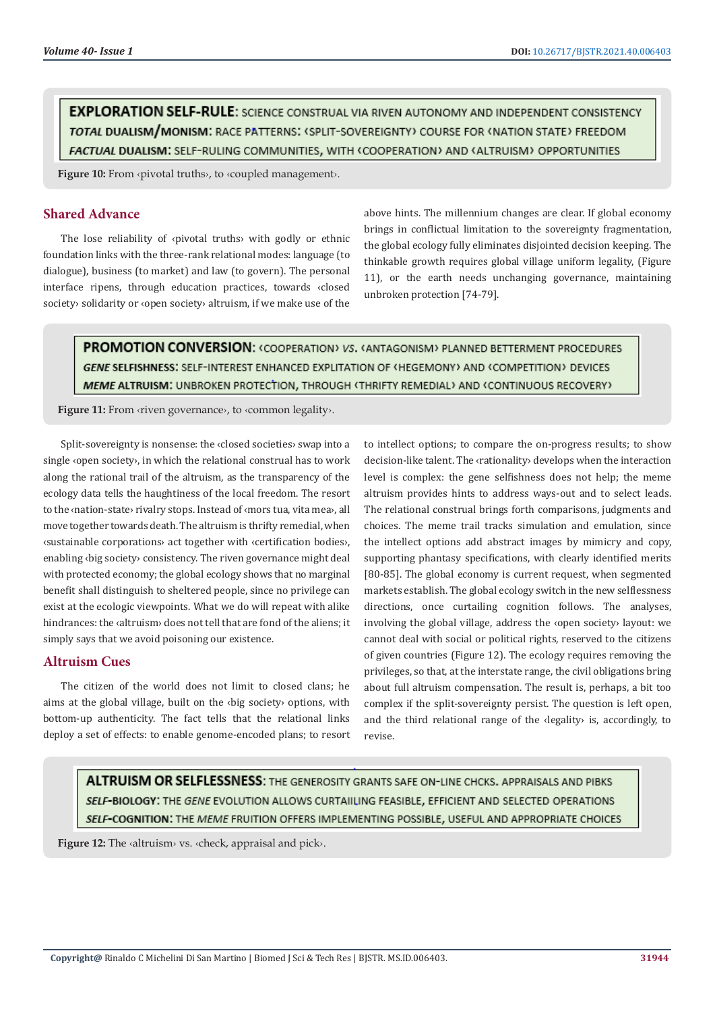**EXPLORATION SELF-RULE:** SCIENCE CONSTRUAL VIA RIVEN AUTONOMY AND INDEPENDENT CONSISTENCY TOTAL DUALISM/MONISM: RACE PATTERNS: (SPLIT-SOVEREIGNTY) COURSE FOR (NATION STATE) FREEDOM FACTUAL DUALISM: SELF-RULING COMMUNITIES, WITH ‹COOPERATION› AND ‹ALTRUISM› OPPORTUNITIES

**Figure 10:** From ‹pivotal truths›, to ‹coupled management›.

#### **Shared Advance**

The lose reliability of ‹pivotal truths› with godly or ethnic foundation links with the three-rank relational modes: language (to dialogue), business (to market) and law (to govern). The personal interface ripens, through education practices, towards ‹closed society› solidarity or ‹open society› altruism, if we make use of the above hints. The millennium changes are clear. If global economy brings in conflictual limitation to the sovereignty fragmentation, the global ecology fully eliminates disjointed decision keeping. The thinkable growth requires global village uniform legality, (Figure 11), or the earth needs unchanging governance, maintaining unbroken protection [74-79].

**PROMOTION CONVERSION: < COOPERATION> VS. < ANTAGONISM> PLANNED BETTERMENT PROCEDURES** GENE SELFISHNESS: SELF-INTEREST ENHANCED EXPLITATION OF (HEGEMONY) AND (COMPETITION) DEVICES MEME ALTRUISM: UNBROKEN PROTECTION, THROUGH <THRIFTY REMEDIAL> AND <CONTINUOUS RECOVERY>

Figure 11: From «riven governance», to «common legality».

Split-sovereignty is nonsense: the ‹closed societies› swap into a single ‹open society›, in which the relational construal has to work along the rational trail of the altruism, as the transparency of the ecology data tells the haughtiness of the local freedom. The resort to the ‹nation-state› rivalry stops. Instead of ‹mors tua, vita mea›, all move together towards death. The altruism is thrifty remedial, when ‹sustainable corporations› act together with ‹certification bodies›, enabling ‹big society› consistency. The riven governance might deal with protected economy; the global ecology shows that no marginal benefit shall distinguish to sheltered people, since no privilege can exist at the ecologic viewpoints. What we do will repeat with alike hindrances: the ‹altruism› does not tell that are fond of the aliens; it simply says that we avoid poisoning our existence.

#### **Altruism Cues**

The citizen of the world does not limit to closed clans; he aims at the global village, built on the ‹big society› options, with bottom-up authenticity. The fact tells that the relational links deploy a set of effects: to enable genome-encoded plans; to resort

to intellect options; to compare the on-progress results; to show decision-like talent. The ‹rationality› develops when the interaction level is complex: the gene selfishness does not help; the meme altruism provides hints to address ways-out and to select leads. The relational construal brings forth comparisons, judgments and choices. The meme trail tracks simulation and emulation, since the intellect options add abstract images by mimicry and copy, supporting phantasy specifications, with clearly identified merits [80-85]. The global economy is current request, when segmented markets establish. The global ecology switch in the new selflessness directions, once curtailing cognition follows. The analyses, involving the global village, address the ‹open society› layout: we cannot deal with social or political rights, reserved to the citizens of given countries (Figure 12). The ecology requires removing the privileges, so that, at the interstate range, the civil obligations bring about full altruism compensation. The result is, perhaps, a bit too complex if the split-sovereignty persist. The question is left open, and the third relational range of the ‹legality› is, accordingly, to revise.

ALTRUISM OR SELFLESSNESS: THE GENEROSITY GRANTS SAFE ON-LINE CHCKS. APPRAISALS AND PIBKS SELF-BIOLOGY: THE GENE EVOLUTION ALLOWS CURTAIILING FEASIBLE, EFFICIENT AND SELECTED OPERATIONS SELF-COGNITION: THE MEME FRUITION OFFERS IMPLEMENTING POSSIBLE, USEFUL AND APPROPRIATE CHOICES

**Figure 12:** The ‹altruism› vs. ‹check, appraisal and pick›.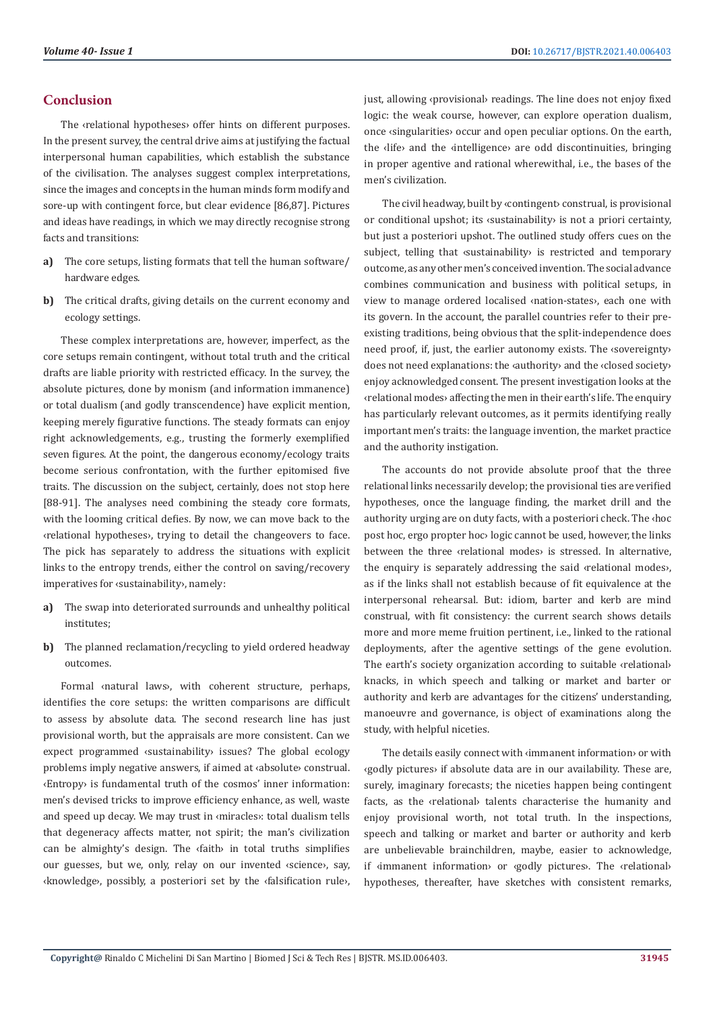#### **Conclusion**

The ‹relational hypotheses› offer hints on different purposes. In the present survey, the central drive aims at justifying the factual interpersonal human capabilities, which establish the substance of the civilisation. The analyses suggest complex interpretations, since the images and concepts in the human minds form modify and sore-up with contingent force, but clear evidence [86,87]. Pictures and ideas have readings, in which we may directly recognise strong facts and transitions:

- **a)** The core setups, listing formats that tell the human software/ hardware edges.
- **b)** The critical drafts, giving details on the current economy and ecology settings.

These complex interpretations are, however, imperfect, as the core setups remain contingent, without total truth and the critical drafts are liable priority with restricted efficacy. In the survey, the absolute pictures, done by monism (and information immanence) or total dualism (and godly transcendence) have explicit mention, keeping merely figurative functions. The steady formats can enjoy right acknowledgements, e.g., trusting the formerly exemplified seven figures. At the point, the dangerous economy/ecology traits become serious confrontation, with the further epitomised five traits. The discussion on the subject, certainly, does not stop here [88-91]. The analyses need combining the steady core formats, with the looming critical defies. By now, we can move back to the ‹relational hypotheses›, trying to detail the changeovers to face. The pick has separately to address the situations with explicit links to the entropy trends, either the control on saving/recovery imperatives for ‹sustainability›, namely:

- **a)** The swap into deteriorated surrounds and unhealthy political institutes;
- **b)** The planned reclamation/recycling to yield ordered headway outcomes.

Formal ‹natural laws›, with coherent structure, perhaps, identifies the core setups: the written comparisons are difficult to assess by absolute data. The second research line has just provisional worth, but the appraisals are more consistent. Can we expect programmed «sustainability» issues? The global ecology problems imply negative answers, if aimed at ‹absolute› construal. ‹Entropy› is fundamental truth of the cosmos' inner information: men's devised tricks to improve efficiency enhance, as well, waste and speed up decay. We may trust in ‹miracles›: total dualism tells that degeneracy affects matter, not spirit; the man's civilization can be almighty's design. The ‹faith› in total truths simplifies our guesses, but we, only, relay on our invented ‹science›, say, ‹knowledge›, possibly, a posteriori set by the ‹falsification rule›, just, allowing <provisional> readings. The line does not enjoy fixed logic: the weak course, however, can explore operation dualism, once ‹singularities› occur and open peculiar options. On the earth, the ‹life› and the ‹intelligence› are odd discontinuities, bringing in proper agentive and rational wherewithal, i.e., the bases of the men's civilization.

The civil headway, built by ‹contingent› construal, is provisional or conditional upshot; its ‹sustainability› is not a priori certainty, but just a posteriori upshot. The outlined study offers cues on the subject, telling that *«sustainability*» is restricted and temporary outcome, as any other men's conceived invention. The social advance combines communication and business with political setups, in view to manage ordered localised ‹nation-states›, each one with its govern. In the account, the parallel countries refer to their preexisting traditions, being obvious that the split-independence does need proof, if, just, the earlier autonomy exists. The ‹sovereignty› does not need explanations: the ‹authority› and the ‹closed society› enjoy acknowledged consent. The present investigation looks at the ‹relational modes› affecting the men in their earth's life. The enquiry has particularly relevant outcomes, as it permits identifying really important men's traits: the language invention, the market practice and the authority instigation.

The accounts do not provide absolute proof that the three relational links necessarily develop; the provisional ties are verified hypotheses, once the language finding, the market drill and the authority urging are on duty facts, with a posteriori check. The ‹hoc post hoc, ergo propter hoc› logic cannot be used, however, the links between the three «relational modes» is stressed. In alternative, the enquiry is separately addressing the said ‹relational modes›, as if the links shall not establish because of fit equivalence at the interpersonal rehearsal. But: idiom, barter and kerb are mind construal, with fit consistency: the current search shows details more and more meme fruition pertinent, i.e., linked to the rational deployments, after the agentive settings of the gene evolution. The earth's society organization according to suitable ‹relational› knacks, in which speech and talking or market and barter or authority and kerb are advantages for the citizens' understanding, manoeuvre and governance, is object of examinations along the study, with helpful niceties.

The details easily connect with ‹immanent information› or with ‹godly pictures› if absolute data are in our availability. These are, surely, imaginary forecasts; the niceties happen being contingent facts, as the ‹relational› talents characterise the humanity and enjoy provisional worth, not total truth. In the inspections, speech and talking or market and barter or authority and kerb are unbelievable brainchildren, maybe, easier to acknowledge, if ‹immanent information› or ‹godly pictures›. The ‹relational› hypotheses, thereafter, have sketches with consistent remarks,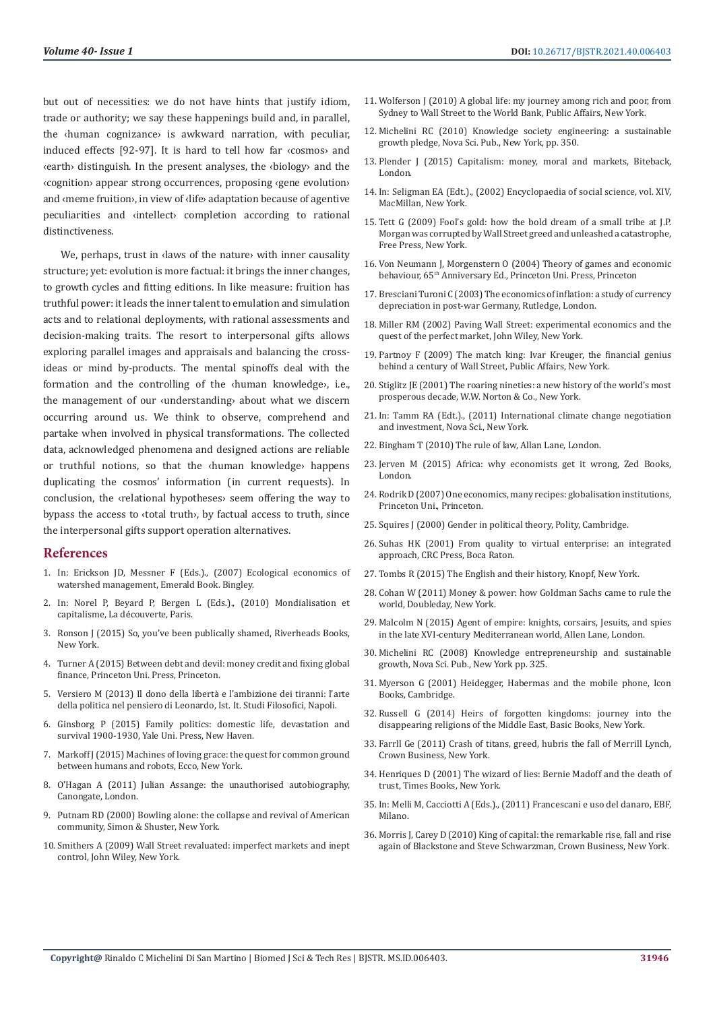but out of necessities: we do not have hints that justify idiom, trade or authority; we say these happenings build and, in parallel, the ‹human cognizance› is awkward narration, with peculiar, induced effects [92-97]. It is hard to tell how far ‹cosmos› and ‹earth› distinguish. In the present analyses, the ‹biology› and the ‹cognition› appear strong occurrences, proposing ‹gene evolution› and ‹meme fruition›, in view of ‹life› adaptation because of agentive peculiarities and ‹intellect› completion according to rational distinctiveness.

We, perhaps, trust in **daws** of the nature with inner causality structure; yet: evolution is more factual: it brings the inner changes, to growth cycles and fitting editions. In like measure: fruition has truthful power: it leads the inner talent to emulation and simulation acts and to relational deployments, with rational assessments and decision-making traits. The resort to interpersonal gifts allows exploring parallel images and appraisals and balancing the crossideas or mind by-products. The mental spinoffs deal with the formation and the controlling of the ‹human knowledge›, i.e., the management of our ‹understanding› about what we discern occurring around us. We think to observe, comprehend and partake when involved in physical transformations. The collected data, acknowledged phenomena and designed actions are reliable or truthful notions, so that the ‹human knowledge› happens duplicating the cosmos' information (in current requests). In conclusion, the ‹relational hypotheses› seem offering the way to bypass the access to ‹total truth›, by factual access to truth, since the interpersonal gifts support operation alternatives.

#### **References**

- 1. [In: Erickson JD, Messner F \(Eds.\)., \(2007\) Ecological economics of](https://books.emeraldinsight.com/page/detail/Ecological-Economics-of-Sustainable-Watershed-Management/?k=9780762314485)  [watershed management, Emerald Book. Bingley.](https://books.emeraldinsight.com/page/detail/Ecological-Economics-of-Sustainable-Watershed-Management/?k=9780762314485)
- 2. In: Norel P, Beyard P, Bergen L (Eds.)., (2010) Mondialisation et capitalisme, La découverte, Paris.
- 3. [Ronson J \(2015\) So, you've been publically shamed, Riverheads Books,](https://www.goodreads.com/book/show/22571552-so-you-ve-been-publicly-shamed)  [New York.](https://www.goodreads.com/book/show/22571552-so-you-ve-been-publicly-shamed)
- 4. Turner A (2015) Between debt and devil: money credit and fixing global finance, Princeton Uni. Press, Princeton.
- 5. Versiero M (2013) Il dono della libertà e l'ambizione dei tiranni: l'arte della politica nel pensiero di Leonardo, Ist. It. Studi Filosofici, Napoli.
- 6. Ginsborg P (2015) Family politics: domestic life, devastation and survival 1900-1930, Yale Uni. Press, New Haven.
- 7. [Markoff J \(2015\) Machines of loving grace: the quest for common ground](https://www.goodreads.com/book/show/23460922-machines-of-loving-grace)  [between humans and robots, Ecco, New York.](https://www.goodreads.com/book/show/23460922-machines-of-loving-grace)
- 8. [O'Hagan A \(2011\) Julian Assange: the unauthorised autobiography,](https://www.goodreads.com/book/show/12689645-julian-assange---the-unauthorised-autobiography)  [Canongate, London.](https://www.goodreads.com/book/show/12689645-julian-assange---the-unauthorised-autobiography)
- 9. Putnam RD (2000) Bowling alone: the collapse and revival of American community, Simon & Shuster, New York.
- 10. Smithers A (2009) Wall Street revaluated: imperfect markets and inept control, John Wiley, New York.
- 11. Wolferson J (2010) A global life: my journey among rich and poor, from Sydney to Wall Street to the World Bank, Public Affairs, New York.
- 12. Michelini RC (2010) Knowledge society engineering: a sustainable growth pledge, Nova Sci. Pub., New York, pp. 350.
- 13. Plender J (2015) Capitalism: money, moral and markets, Biteback, London.
- 14. In: Seligman EA (Edt.)., (2002) Encyclopaedia of social science, vol. XIV, MacMillan, New York.
- 15. Tett G (2009) Fool's gold: how the bold dream of a small tribe at J.P. Morgan was corrupted by Wall Street greed and unleashed a catastrophe, Free Press, New York.
- 16. Von Neumann J, Morgenstern O (2004) Theory of games and economic behaviour, 65th Anniversary Ed., Princeton Uni. Press, Princeton
- 17. Bresciani Turoni C (2003) The economics of inflation: a study of currency depreciation in post-war Germany, Rutledge, London.
- 18. Miller RM (2002) Paving Wall Street: experimental economics and the quest of the perfect market, John Wiley, New York.
- 19. Partnoy F (2009) The match king: Ivar Kreuger, the financial genius behind a century of Wall Street, Public Affairs, New York.
- 20. Stiglitz JE (2001) The roaring nineties: a new history of the world's most prosperous decade, W.W. Norton & Co., New York.
- 21. In: Tamm RA (Edt.)., (2011) International climate change negotiation and investment, Nova Sci., New York.
- 22. Bingham T (2010) The rule of law, Allan Lane, London.
- 23. Jerven M (2015) Africa: why economists get it wrong, Zed Books, London.
- 24. Rodrik D (2007) One economics, many recipes: globalisation institutions, Princeton Uni., Princeton.
- 25. Squires J (2000) Gender in political theory, Polity, Cambridge.
- 26. Suhas HK (2001) From quality to virtual enterprise: an integrated approach, CRC Press, Boca Raton.
- 27. Tombs R (2015) The English and their history, Knopf, New York.
- 28. Cohan W (2011) Money & power: how Goldman Sachs came to rule the world, Doubleday, New York.
- 29. Malcolm N (2015) Agent of empire: knights, corsairs, Jesuits, and spies in the late XVI-century Mediterranean world, Allen Lane, London.
- 30. Michelini RC (2008) Knowledge entrepreneurship and sustainable growth, Nova Sci. Pub., New York pp. 325.
- 31. Myerson G (2001) Heidegger, Habermas and the mobile phone, Icon Books, Cambridge.
- 32. Russell G (2014) Heirs of forgotten kingdoms: journey into the disappearing religions of the Middle East, Basic Books, New York.
- 33. Farrll Ge (2011) Crash of titans, greed, hubris the fall of Merrill Lynch, Crown Business, New York.
- 34. Henriques D (2001) The wizard of lies: Bernie Madoff and the death of trust, Times Books, New York.
- 35. In: Melli M, Cacciotti A (Eds.)., (2011) Francescani e uso del danaro, EBF, Milano.
- 36. Morris J, Carey D (2010) King of capital: the remarkable rise, fall and rise again of Blackstone and Steve Schwarzman, Crown Business, New York.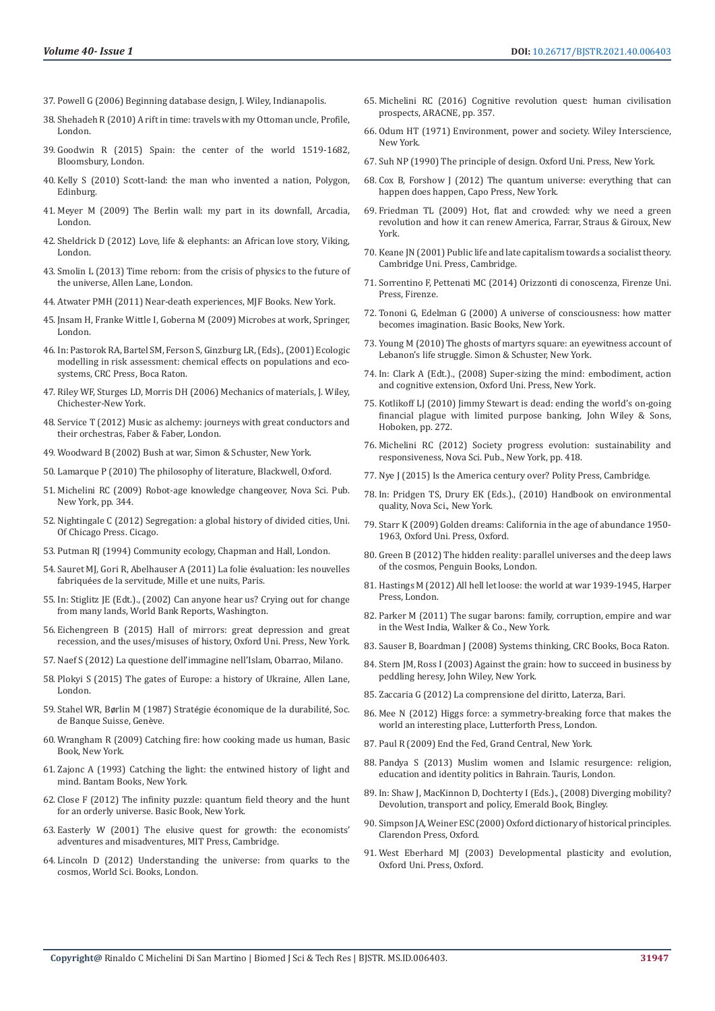- 37. Powell G (2006) Beginning database design, J. Wiley, Indianapolis.
- 38. Shehadeh R (2010) A rift in time: travels with my Ottoman uncle, Profile, London.
- 39. Goodwin R (2015) Spain: the center of the world 1519-1682, Bloomsbury, London.
- 40. Kelly S (2010) Scott-land: the man who invented a nation, Polygon, Edinburg.
- 41. Meyer M (2009) The Berlin wall: my part in its downfall, Arcadia, London.
- 42. Sheldrick D (2012) Love, life & elephants: an African love story, Viking, London.
- 43. Smolin L (2013) Time reborn: from the crisis of physics to the future of the universe, Allen Lane, London.
- 44. Atwater PMH (2011) Near-death experiences, MJF Books. New York.
- 45. Jnsam H, Franke Wittle I, Goberna M (2009) Microbes at work, Springer, London.
- 46. [In: Pastorok RA, Bartel SM, Ferson S, Ginzburg LR, \(Eds\)., \(2001\) Ecologic](https://www.enviroscienceinc.com/services/emergency-response/ecological-risk-assessment/)  [modelling in risk assessment: chemical effects on populations and eco](https://www.enviroscienceinc.com/services/emergency-response/ecological-risk-assessment/)[systems, CRC Press, Boca Raton.](https://www.enviroscienceinc.com/services/emergency-response/ecological-risk-assessment/)
- 47. Riley WF, Sturges LD, Morris DH (2006) Mechanics of materials, J. Wiley, Chichester-New York.
- 48. Service T (2012) Music as alchemy: journeys with great conductors and their orchestras, Faber & Faber, London.
- 49. Woodward B (2002) Bush at war, Simon & Schuster, New York.
- 50. [Lamarque P \(2010\) The philosophy of literature, Blackwell, Oxford.](https://www.wiley.com/en-us/The+Philosophy+of+Literature-p-9781405121972)
- 51. [Michelini RC \(2009\) Robot-age knowledge changeover, Nova Sci. Pub.](https://ebin.pub/robot-age-knowledge-changeover-robotics-research-and-technology-1606929054-9781606929056.html)  [New York, pp. 344.](https://ebin.pub/robot-age-knowledge-changeover-robotics-research-and-technology-1606929054-9781606929056.html)
- 52. [Nightingale C \(2012\) Segregation: a global history of divided cities, Uni.](https://press.uchicago.edu/ucp/books/book/chicago/S/bo8844226.html)  [Of Chicago Press. Cicago.](https://press.uchicago.edu/ucp/books/book/chicago/S/bo8844226.html)
- 53. Putman RJ (1994) Community ecology, Chapman and Hall, London.
- 54. Sauret MJ, Gori R, Abelhauser A (2011) La folie évaluation: les nouvelles fabriquées de la servitude, Mille et une nuits, Paris.
- 55. In: Stiglitz JE (Edt.)., (2002) Can anyone hear us? Crying out for change from many lands, World Bank Reports, Washington.
- 56. [Eichengreen B \(2015\) Hall of mirrors: great depression and great](https://global.oup.com/academic/product/hall-of-mirrors-9780199392001?cc=in&lang=en&)  [recession, and the uses/misuses of history, Oxford Uni. Press, New York.](https://global.oup.com/academic/product/hall-of-mirrors-9780199392001?cc=in&lang=en&)
- 57. Naef S (2012) La questione dell'immagine nell'Islam, Obarrao, Milano.
- 58. Plokyi S (2015) The gates of Europe: a history of Ukraine, Allen Lane, London.
- 59. Stahel WR, Børlin M (1987) Stratégie économique de la durabilité, Soc. de Banque Suisse, Genève.
- 60. [Wrangham R \(2009\) Catching fire: how cooking made us human, Basic](https://www.amazon.in/Catching-Fire-Cooking-Made-Human/dp/0465020410)  [Book, New York.](https://www.amazon.in/Catching-Fire-Cooking-Made-Human/dp/0465020410)
- 61. Zajonc A (1993) Catching the light: the entwined history of light and mind. Bantam Books, New York.
- 62. Close F (2012) The infinity puzzle: quantum field theory and the hunt for an orderly universe. Basic Book, New York.
- 63. [Easterly W \(2001\) The elusive quest for growth: the economists'](https://mitpress.mit.edu/books/elusive-quest-growth)  [adventures and misadventures, MIT Press, Cambridge.](https://mitpress.mit.edu/books/elusive-quest-growth)
- 64. Lincoln D (2012) Understanding the universe: from quarks to the cosmos, World Sci. Books, London.
- 65. Michelini RC (2016) Cognitive revolution quest: human civilisation prospects, ARACNE, pp. 357.
- 66. Odum HT (1971) Environment, power and society. Wiley Interscience, New York.
- 67. [Suh NP \(1990\) The principle of design. Oxford Uni. Press, New York.](https://global.oup.com/ushe/product/the-principles-of-design-9780195043457?cc=in&lang=en&)
- 68. Cox B, Forshow J (2012) The quantum universe: everything that can happen does happen, Capo Press, New York.
- 69. Friedman TL (2009) Hot, flat and crowded: why we need a green revolution and how it can renew America, Farrar, Straus & Giroux, New York.
- 70. [Keane JN \(2001\) Public life and late capitalism towards a socialist theory.](https://www.cambridge.org/9780521255431) [Cambridge Uni. Press, Cambridge.](https://www.cambridge.org/9780521255431)
- 71. Sorrentino F, Pettenati MC (2014) Orizzonti di conoscenza, Firenze Uni. Press, Firenze.
- 72. [Tononi G, Edelman G \(2000\) A universe of consciousness: how matter](https://psycnet.apa.org/record/2001-00539-000) [becomes imagination. Basic Books, New York.](https://psycnet.apa.org/record/2001-00539-000)
- 73. [Young M \(2010\) The ghosts of martyrs square: an eyewitness account of](https://www.simonandschuster.com/books/The-Ghosts-of-Martyrs-Square/Michael-Young/9781416598633) [Lebanon's life struggle. Simon & Schuster, New York.](https://www.simonandschuster.com/books/The-Ghosts-of-Martyrs-Square/Michael-Young/9781416598633)
- 74. [In: Clark A \(Edt.\)., \(2008\) Super-sizing the mind: embodiment, action](https://oxford.universitypressscholarship.com/view/10.1093/acprof:oso/9780195333213.001.0001/acprof-9780195333213) [and cognitive extension, Oxford Uni. Press, New York.](https://oxford.universitypressscholarship.com/view/10.1093/acprof:oso/9780195333213.001.0001/acprof-9780195333213)
- 75. [Kotlikoff LJ \(2010\) Jimmy Stewart is dead: ending the world's on-going](https://www.wiley.com/en-us/Jimmy+Stewart+Is+Dead%3A+Ending+the+World%27s+Ongoing+Financial+Plague+with+Limited+Purpose+Banking-p-9781118011331) [financial plague with limited purpose banking, John Wiley & Sons,](https://www.wiley.com/en-us/Jimmy+Stewart+Is+Dead%3A+Ending+the+World%27s+Ongoing+Financial+Plague+with+Limited+Purpose+Banking-p-9781118011331) [Hoboken, pp. 272.](https://www.wiley.com/en-us/Jimmy+Stewart+Is+Dead%3A+Ending+the+World%27s+Ongoing+Financial+Plague+with+Limited+Purpose+Banking-p-9781118011331)
- 76. Michelini RC (2012) Society progress evolution: sustainability and responsiveness, Nova Sci. Pub., New York, pp. 418.
- 77. [Nye J \(2015\) Is the America century over? Polity Press, Cambridge.](https://www.jstor.org/stable/43828688)
- 78. In: Pridgen TS, Drury EK (Eds.)., (2010) Handbook on environmental quality, Nova Sci., New York.
- 79. [Starr K \(2009\) Golden dreams: California in the age of abundance 1950-](https://global.oup.com/academic/product/golden-dreams-9780199832491?cc=in&lang=en&) [1963, Oxford Uni. Press, Oxford.](https://global.oup.com/academic/product/golden-dreams-9780199832491?cc=in&lang=en&)
- 80. Green B (2012) The hidden reality: parallel universes and the deep laws of the cosmos, Penguin Books, London.
- 81. Hastings M (2012) All hell let loose: the world at war 1939-1945, Harper Press, London.
- 82. Parker M (2011) The sugar barons: family, corruption, empire and war in the West India, Walker & Co., New York.
- 83. [Sauser B, Boardman J \(2008\) Systems thinking, CRC Books, Boca Raton.](https://www.routledge.com/Systems-Thinking-Coping-with-21st-Century-Problems/Boardman-Sauser/p/book/9781420054910)
- 84. Stern JM, Ross I (2003) Against the grain: how to succeed in business by peddling heresy, John Wiley, New York.
- 85. Zaccaria G (2012) La comprensione del diritto, Laterza, Bari.
- 86. [Mee N \(2012\) Higgs force: a symmetry-breaking force that makes the](https://www.goodreads.com/book/show/13040144-higgs-force) [world an interesting place, Lutterforth Press, London.](https://www.goodreads.com/book/show/13040144-higgs-force)
- 87. [Paul R \(2009\) End the Fed, Grand Central, New York.](https://www.grandcentralpublishing.com/titles/ron-paul/end-the-fed/9780446568180/)
- 88. [Pandya S \(2013\) Muslim women and Islamic resurgence: religion,](https://www.bloomsburycollections.com/book/muslim-women-and-islamic-resurgence-religion-education-and-identity-politics-in-bahrain/?clearSearch) [education and identity politics in Bahrain. Tauris, London.](https://www.bloomsburycollections.com/book/muslim-women-and-islamic-resurgence-religion-education-and-identity-politics-in-bahrain/?clearSearch)
- 89. In: Shaw J, MacKinnon D, Dochterty I (Eds.)., (2008) Diverging mobility? Devolution, transport and policy, Emerald Book, Bingley.
- 90. [Simpson JA, Weiner ESC \(2000\) Oxford dictionary of historical principles.](https://www.worldcat.org/title/shorter-oxford-english-dictionary-on-historical-principles/oclc/1209341) [Clarendon Press, Oxford.](https://www.worldcat.org/title/shorter-oxford-english-dictionary-on-historical-principles/oclc/1209341)
- 91. [West Eberhard MJ \(2003\) Developmental plasticity and evolution,](https://global.oup.com/academic/product/developmental-plasticity-and-evolution-9780195122350?cc=in&lang=en&) [Oxford Uni. Press, Oxford.](https://global.oup.com/academic/product/developmental-plasticity-and-evolution-9780195122350?cc=in&lang=en&)